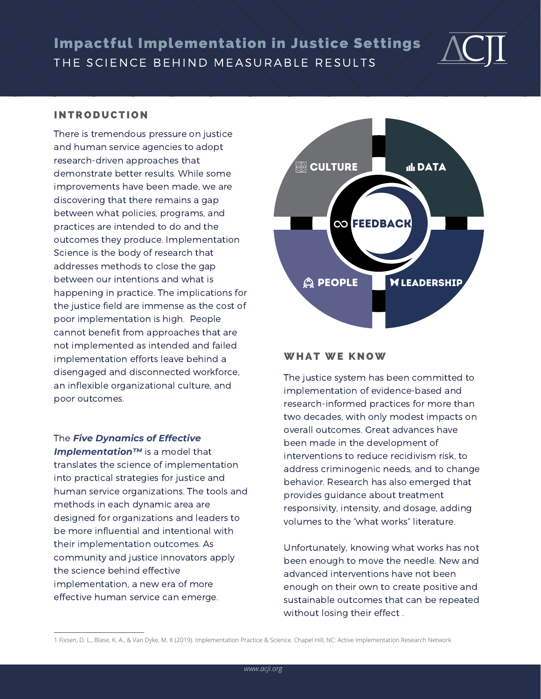THE SCIENCE BEHIND MEASURABLE RESULTS Impactful Implementation in Justice Settings



#### **INTRODUCTION**

There is tremendous pressure on justice and human service agencies to adopt research-driven approaches that demonstrate better results. While some improvements have been made, we are discovering that there remains a gap between what policies, programs, and practices are intended to do and the outcomes they produce. Implementation Science is the body of research that addresses methods to close the gap between our intentions and what is happening in practice. The implications for the justice field are immense as the cost of poor implementation is high. People cannot benefit from approaches that are not implemented as intended and failed implementation efforts leave behind a disengaged and disconnected workforce, an inflexible organizational culture, and poor outcomes.

The *Five Dynamics of Effective Implementation™* is a model that translates the science of implementation into practical strategies for justice and human service organizations. The tools and methods in each dynamic area are designed for organizations and leaders to be more influential and intentional with their implementation outcomes. As community and justice innovators apply the science behind effective implementation, a new era of more effective human service can emerge.



#### WHAT WE KNOW

The justice system has been committed to implementation of evidence-based and research-informed practices for more than two decades, with only modest impacts on overall outcomes. Great advances have been made in the development of interventions to reduce recidivism risk, to address criminogenic needs, and to change behavior. Research has also emerged that provides guidance about treatment responsivity, intensity, and dosage, adding volumes to the "what works" literature.

Unfortunately, knowing what works has not been enough to move the needle. New and advanced interventions have not been enough on their own to create positive and sustainable outcomes that can be repeated without losing their effect .

<sup>1</sup> Fixsen, D. L., Blase, K. A., & Van Dyke, M. K (2019). Implementation Practice & Science. Chapel Hill, NC: Active Implementation Research Network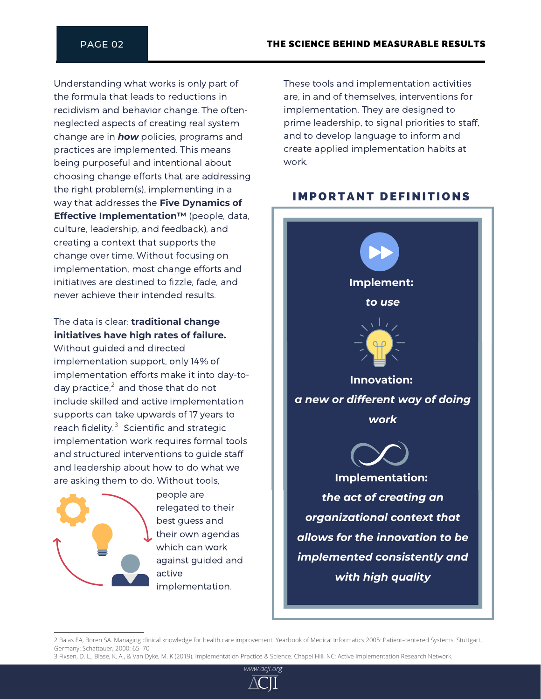Understanding what works is only part of the formula that leads to reductions in recidivism and behavior change. The oftenneglected aspects of creating real system change are in *how* policies, programs and practices are implemented. This means being purposeful and intentional about choosing change efforts that are addressing the right problem(s), implementing in a way that addresses the **Five Dynamics of Effective Implementation™** (people, data, culture, leadership, and feedback), and creating a context that supports the change over time. Without focusing on implementation, most change efforts and initiatives are destined to fizzle, fade, and never achieve their intended results.

## The data is clear: **traditional change initiatives have high rates of failure.**

Without guided and directed implementation support, only 14% of implementation efforts make it into day-today practice, $^2$  and those that do not include skilled and active implementation supports can take upwards of 17 years to reach fidelity. $3$  Scientific and strategic implementation work requires formal tools and structured interventions to guide staff and leadership about how to do what we are asking them to do. Without tools,



people are relegated to their best guess and their own agendas which can work against guided and active implementation.

These tools and implementation activities are, in and of themselves, interventions for implementation. They are designed to prime leadership, to signal priorities to staff, and to develop language to inform and create applied implementation habits at work.

## **IMPORTANT DEFINITIONS**



<sup>2</sup> Balas EA, Boren SA. Managing clinical knowledge for health care improvement. Yearbook of Medical Informatics 2005: Patient-centered Systems. Stuttgart, Germany: Schattauer, 2000: 65–70

<sup>3</sup> Fixsen, D. L., Blase, K. A., & Van Dyke, M. K (2019). Implementation Practice & Science. Chapel Hill, NC: Active Implementation Research Network.

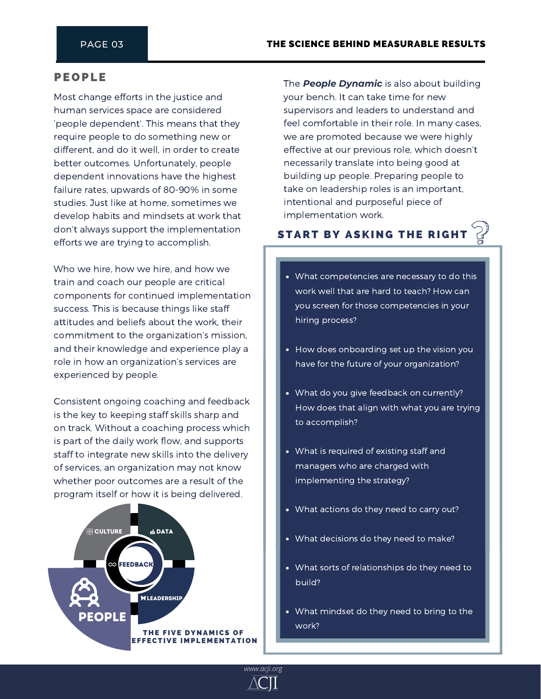#### **PEOPLE**

Most change efforts in the justice and human services space are considered 'people dependent'. This means that they require people to do something new or different, and do it well, in order to create better outcomes. Unfortunately, people dependent innovations have the highest failure rates, upwards of 80-90% in some studies. Just like at home, sometimes we develop habits and mindsets at work that don't always support the implementation efforts we are trying to accomplish.

Who we hire, how we hire, and how we train and coach our people are critical components for continued implementation success. This is because things like staff attitudes and beliefs about the work, their commitment to the organization's mission, and their knowledge and experience play a role in how an organization's services are experienced by people.

Consistent ongoing coaching and feedback is the key to keeping staff skills sharp and on track. Without a coaching process which is part of the daily work flow, and supports staff to integrate new skills into the delivery of services, an organization may not know whether poor outcomes are a result of the program itself or how it is being delivered.



The *People Dynamic* is also about building your bench. It can take time for new supervisors and leaders to understand and feel comfortable in their role. In many cases, we are promoted because we were highly effective at our previous role, which doesn't necessarily translate into being good at building up people. Preparing people to take on leadership roles is an important, intentional and purposeful piece of implementation work.

### **START BY ASKING THE RIGHT**

- What competencies are necessary to do this work well that are hard to teach? How can you screen for those competencies in your hiring process?
- How does onboarding set up the vision you have for the future of your organization?
- What do you give feedback on currently? How does that align with what you are trying to accomplish?
- What is required of existing staff and managers who are charged with implementing the strategy?
- What actions do they need to carry out?
- What decisions do they need to make?
- What sorts of relationships do they need to build?
- What mindset do they need to bring to the work?

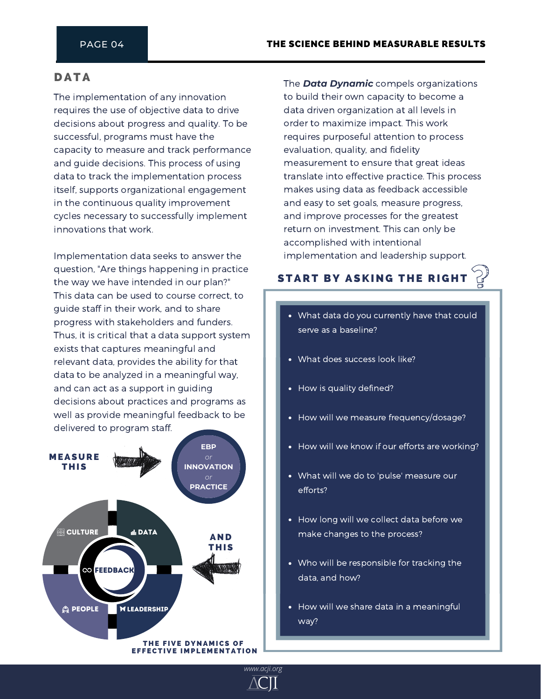### **DATA**

The implementation of any innovation requires the use of objective data to drive decisions about progress and quality. To be successful, programs must have the capacity to measure and track performance and guide decisions. This process of using data to track the implementation process itself, supports organizational engagement in the continuous quality improvement cycles necessary to successfully implement innovations that work.

Implementation data seeks to answer the question, "Are things happening in practice the way we have intended in our plan?" This data can be used to course correct, to guide staff in their work, and to share progress with stakeholders and funders. Thus, it is critical that a data support system exists that captures meaningful and relevant data, provides the ability for that data to be analyzed in a meaningful way, and can act as a support in guiding decisions about practices and programs as well as provide meaningful feedback to be delivered to program staff.



The *Data Dynamic* compels organizations to build their own capacity to become a data driven organization at all levels in order to maximize impact. This work requires purposeful attention to process evaluation, quality, and fidelity measurement to ensure that great ideas translate into effective practice. This process makes using data as feedback accessible and easy to set goals, measure progress, and improve processes for the greatest return on investment. This can only be accomplished with intentional implementation and leadership support.

## **START BY ASKING THE RIGHT**

- What data do you currently have that could serve as a baseline?
- What does success look like?
- How is quality defined?
- How will we measure frequency/dosage?
- How will we know if our efforts are working?
- What will we do to 'pulse' measure our efforts?
- How long will we collect data before we make changes to the process?
- Who will be responsible for tracking the data, and how?
- How will we share data in a meaningful way?

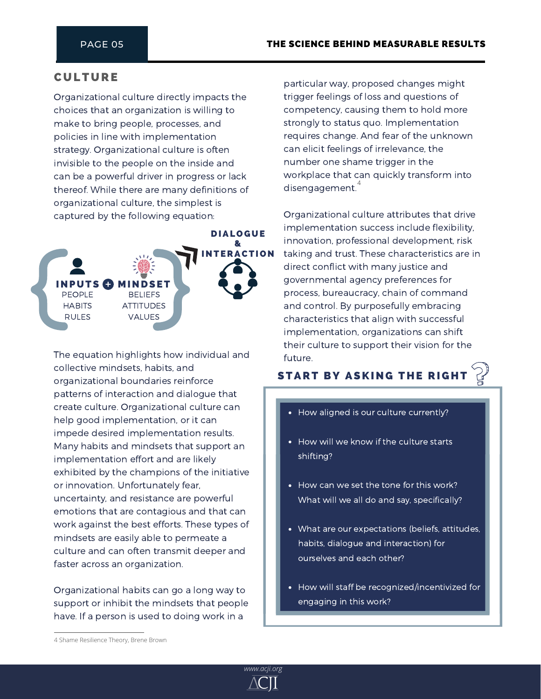## **CULTURE**

Organizational culture directly impacts the choices that an organization is willing to make to bring people, processes, and policies in line with implementation strategy. Organizational culture is often invisible to the people on the inside and can be a powerful driver in progress or lack thereof. While there are many definitions of organizational culture, the simplest is captured by the following equation:



The equation highlights how individual and collective mindsets, habits, and organizational boundaries reinforce patterns of interaction and dialogue that create culture. Organizational culture can help good implementation, or it can impede desired implementation results. Many habits and mindsets that support an implementation effort and are likely exhibited by the champions of the initiative or innovation. Unfortunately fear, uncertainty, and resistance are powerful emotions that are contagious and that can work against the best efforts. These types of mindsets are easily able to permeate a culture and can often transmit deeper and faster across an organization.

Organizational habits can go a long way to support or inhibit the mindsets that people have. If a person is used to doing work in a

particular way, proposed changes might trigger feelings of loss and questions of competency, causing them to hold more strongly to status quo. Implementation requires change. And fear of the unknown can elicit feelings of irrelevance, the number one shame trigger in the workplace that can quickly transform into disengagement. $\overset{4}{\cdot}$ 

Organizational culture attributes that drive implementation success include flexibility, innovation, professional development, risk taking and trust. These characteristics are in direct conflict with many justice and governmental agency preferences for process, bureaucracy, chain of command and control. By purposefully embracing characteristics that align with successful implementation, organizations can shift their culture to support their vision for the future.

## **START BY ASKING THE RIGH**

- How aligned is our culture currently?
- How will we know if the culture starts shifting?
- How can we set the tone for this work? What will we all do and say, specifically?
- What are our expectations (beliefs, attitudes, habits, dialogue and interaction) for ourselves and each other?
- How will staff be recognized/incentivized for engaging in this work?



<sup>4</sup> Shame Resilience Theory, Brene Brown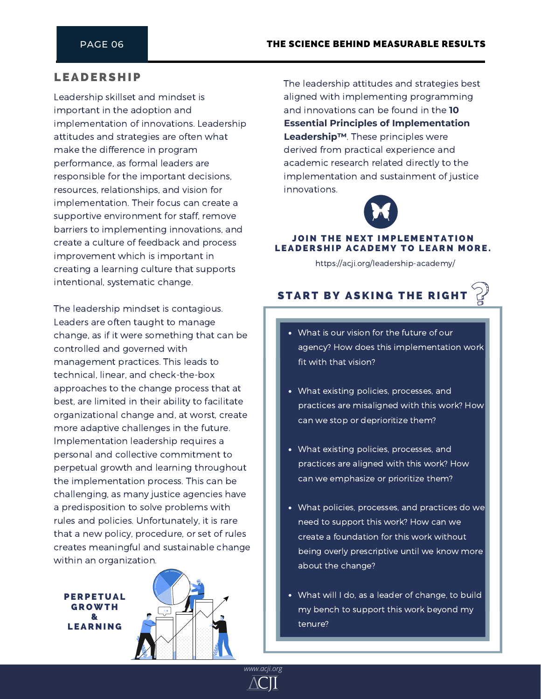## **LEADERSHIP**

Leadership skillset and mindset is important in the adoption and implementation of innovations. Leadership attitudes and strategies are often what make the difference in program performance, as formal leaders are responsible for the important decisions, resources, relationships, and vision for implementation. Their focus can create a supportive environment for staff, remove barriers to implementing innovations, and create a culture of feedback and process improvement which is important in creating a learning culture that supports intentional, systematic change.

The leadership mindset is contagious. Leaders are often taught to manage change, as if it were something that can be controlled and governed with management practices. This leads to technical, linear, and check-the-box approaches to the change process that at best, are limited in their ability to facilitate organizational change and, at worst, create more adaptive challenges in the future. Implementation leadership requires a personal and collective commitment to perpetual growth and learning throughout the implementation process. This can be challenging, as many justice agencies have a predisposition to solve problems with rules and policies. Unfortunately, it is rare that a new policy, procedure, or set of rules creates meaningful and sustainable change within an organization.

**PERPETUAL GROWTH** & **LEARNING** 



*www.acji.org*

The leadership attitudes and strategies best aligned with implementing programming and innovations can be found in the **10 Essential Principles of Implementation Leadership™**. These principles were derived from practical experience and academic research related directly to the implementation and sustainment of justice innovations.



#### JOIN THE NEXT IMPLEMENTATION LEADERSHIP ACADEMY TO LEARN MORE.

https://acji.org/leadership-academy/



- What is our vision for the future of our agency? How does this implementation work fit with that vision?
- What existing policies, processes, and practices are misaligned with this work? How can we stop or deprioritize them?
- What existing policies, processes, and practices are aligned with this work? How can we emphasize or prioritize them?
- What policies, processes, and practices do we need to support this work? How can we create a foundation for this work without being overly prescriptive until we know more about the change?
- What will I do, as a leader of change, to build my bench to support this work beyond my tenure?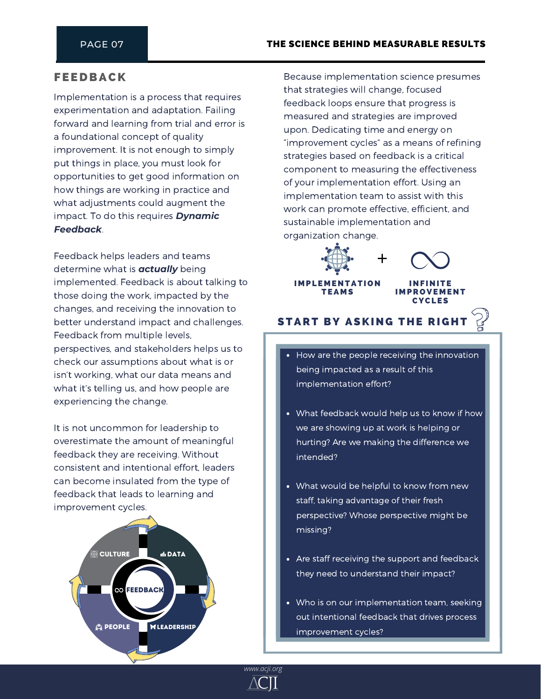## **FEEDBACK**

Implementation is a process that requires experimentation and adaptation. Failing forward and learning from trial and error is a foundational concept of quality improvement. It is not enough to simply put things in place, you must look for opportunities to get good information on how things are working in practice and what adjustments could augment the impact. To do this requires *Dynamic Feedback*.

Feedback helps leaders and teams determine what is *actually* being implemented. Feedback is about talking to those doing the work, impacted by the changes, and receiving the innovation to better understand impact and challenges. Feedback from multiple levels, perspectives, and stakeholders helps us to check our assumptions about what is or isn't working, what our data means and what it's telling us, and how people are experiencing the change.

It is not uncommon for leadership to overestimate the amount of meaningful feedback they are receiving. Without consistent and intentional effort, leaders can become insulated from the type of feedback that leads to learning and improvement cycles.



Because implementation science presumes that strategies will change, focused feedback loops ensure that progress is measured and strategies are improved upon. Dedicating time and energy on "improvement cycles" as a means of refining strategies based on feedback is a critical component to measuring the effectiveness of your implementation effort. Using an implementation team to assist with this work can promote effective, efficient, and sustainable implementation and organization change.



**IMPLEMENTATION TEAMS** 

## **START BY ASKING THE RIGHT**

**IMPROVEMENT CYCLES** 

- How are the people receiving the innovation being impacted as a result of this implementation effort?
- What feedback would help us to know if how we are showing up at work is helping or hurting? Are we making the difference we intended?
- What would be helpful to know from new staff, taking advantage of their fresh perspective? Whose perspective might be missing?
- Are staff receiving the support and feedback they need to understand their impact?
- Who is on our implementation team, seeking out intentional feedback that drives process improvement cycles?